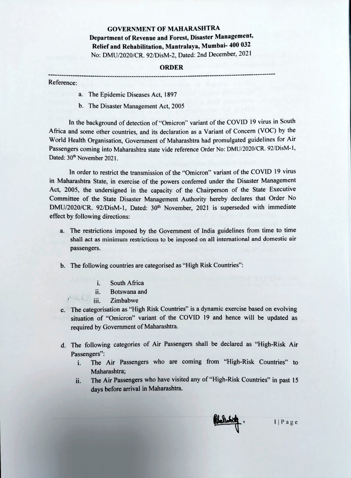## GOVERNMENT OF MAHARASHTRA Department of Revenue and Forest, Disaster Management, Relief and Rehabilitation, Mantralaya, Mumbai- 400 032 No: DMU/2020/CR. 92/DisM-2, Dated: 2nd December, 2021

## ORDER

## Reference:

- a. The Epidemic Diseases Act, 1897
- b. The Disaster Management Act, 2005

In the background of detection of "Omicron" variant of the COVID 19 virus in South Africa and some other countries, and its declaration as a Variant of Concern (VOc) by the World Health Organisation, Government of Maharashtra had promulgated guidelines for Air Passengers coming into Maharashtra state vide reference Order No: DMU/2020/CR. 92/DisM-1, Dated: 30<sup>th</sup> November 2021.

In order to restrict the transmission of the "Omicron" variant of the COVID 19 virus in Maharashtra State, in exercise of the powers conferred under the Disaster Management Act, 2005, the undersigned in the capacity of the Chaiperson of the State Executive Committee of the State Disaster Management Authority hereby declares that Order No DMU/2020/CR. 92/DisM-1, Dated: 30<sup>th</sup> November, 2021 is superseded with immediate effect by following directions:

- a. The restrictions imposed by the Government of India guidelines from time to time shall act as minimum restrictions to be imposed on all international and domestic air passengers.
- b. The following countries are categorised as "High Risk Countries":
	- i. South Africa
	- ii. Botswana and
	- $\bullet$  delse, ii. Zimbabwe
- c. The categorisation as "High Risk Countries" is a dynamic exercise based on evolving situation of "Omicron" variant of the COVID 19 and hence will be updated as required by Government of Maharashtra.
- d. The following categories of Air Passengers shall be declared as "High-Risk Air Passengers":
	- i. The Air Passengers who are coming from "High-Risk Countries" to Maharashtra;
	- The Air Passengers who have visited any of "High-Risk Countries" in past 15 days before arrival in Maharashtra. ii.



1|Page